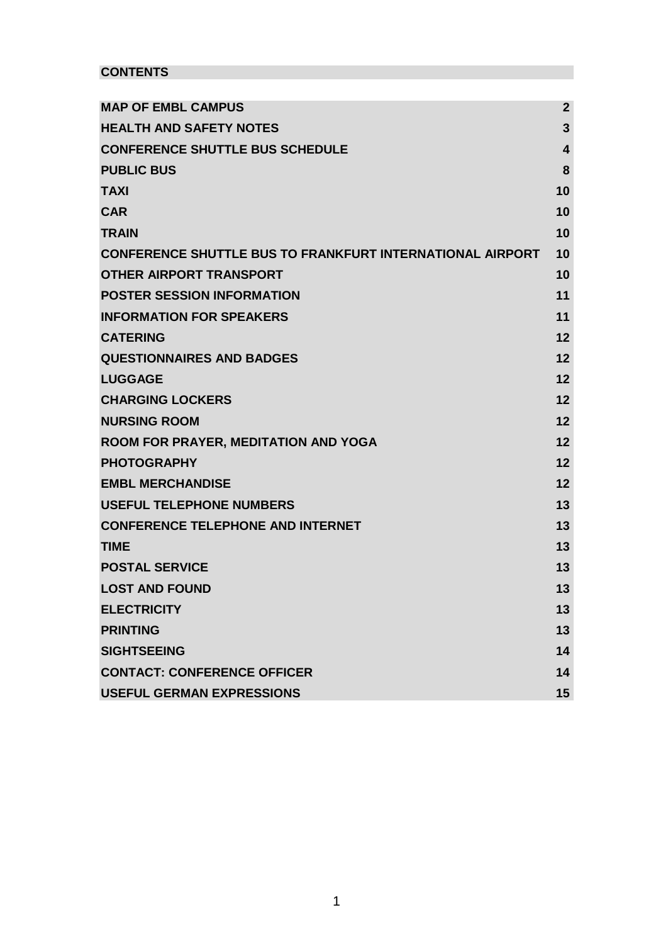# **CONTENTS**

| <b>MAP OF EMBL CAMPUS</b>                                        | $\overline{2}$          |
|------------------------------------------------------------------|-------------------------|
| <b>HEALTH AND SAFETY NOTES</b>                                   | 3                       |
| <b>CONFERENCE SHUTTLE BUS SCHEDULE</b>                           | $\overline{\mathbf{4}}$ |
| <b>PUBLIC BUS</b>                                                | 8                       |
| <b>TAXI</b>                                                      | 10                      |
| <b>CAR</b>                                                       | 10                      |
| <b>TRAIN</b>                                                     | 10                      |
| <b>CONFERENCE SHUTTLE BUS TO FRANKFURT INTERNATIONAL AIRPORT</b> | 10                      |
| <b>OTHER AIRPORT TRANSPORT</b>                                   | 10                      |
| <b>POSTER SESSION INFORMATION</b>                                | 11                      |
| <b>INFORMATION FOR SPEAKERS</b>                                  | 11                      |
| <b>CATERING</b>                                                  | 12                      |
| <b>QUESTIONNAIRES AND BADGES</b>                                 | 12                      |
| <b>LUGGAGE</b>                                                   | 12                      |
| <b>CHARGING LOCKERS</b>                                          | 12                      |
| <b>NURSING ROOM</b>                                              | 12                      |
| <b>ROOM FOR PRAYER, MEDITATION AND YOGA</b>                      | 12                      |
| <b>PHOTOGRAPHY</b>                                               | 12                      |
| <b>EMBL MERCHANDISE</b>                                          | 12                      |
| <b>USEFUL TELEPHONE NUMBERS</b>                                  | 13                      |
| <b>CONFERENCE TELEPHONE AND INTERNET</b>                         | 13                      |
| <b>TIME</b>                                                      | 13                      |
| <b>POSTAL SERVICE</b>                                            | 13                      |
| <b>LOST AND FOUND</b>                                            | 13                      |
| <b>ELECTRICITY</b>                                               | 13                      |
| <b>PRINTING</b>                                                  | 13                      |
| <b>SIGHTSEEING</b>                                               | 14                      |
| <b>CONTACT: CONFERENCE OFFICER</b>                               | 14                      |
| <b>USEFUL GERMAN EXPRESSIONS</b>                                 | 15                      |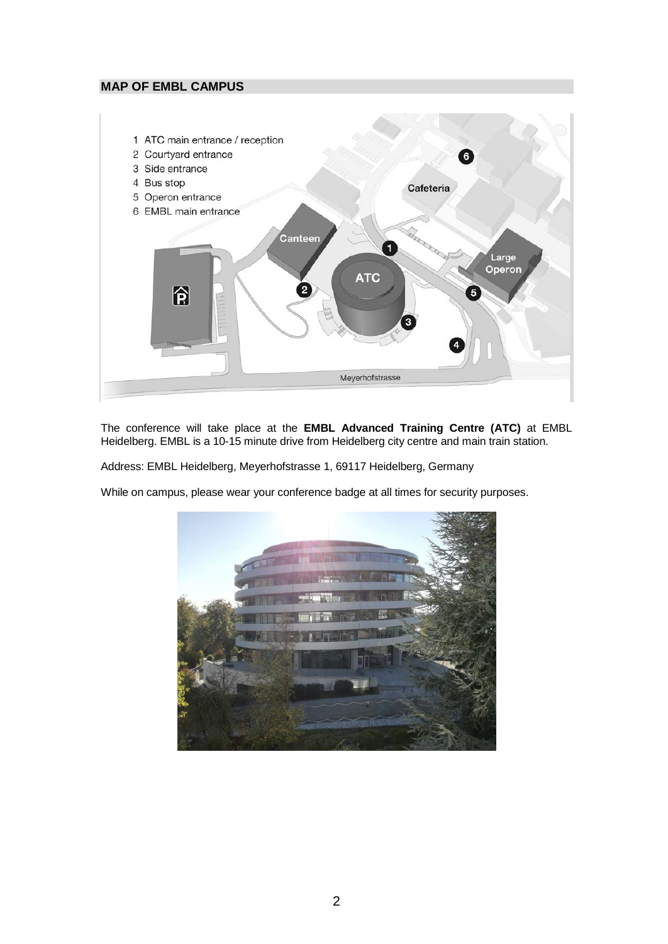## <span id="page-1-0"></span>**MAP OF EMBL CAMPUS**



The conference will take place at the **EMBL Advanced Training Centre (ATC)** at EMBL Heidelberg. EMBL is a 10-15 minute drive from Heidelberg city centre and main train station.

Address: EMBL Heidelberg, Meyerhofstrasse 1, 69117 Heidelberg, Germany

While on campus, please wear your conference badge at all times for security purposes.

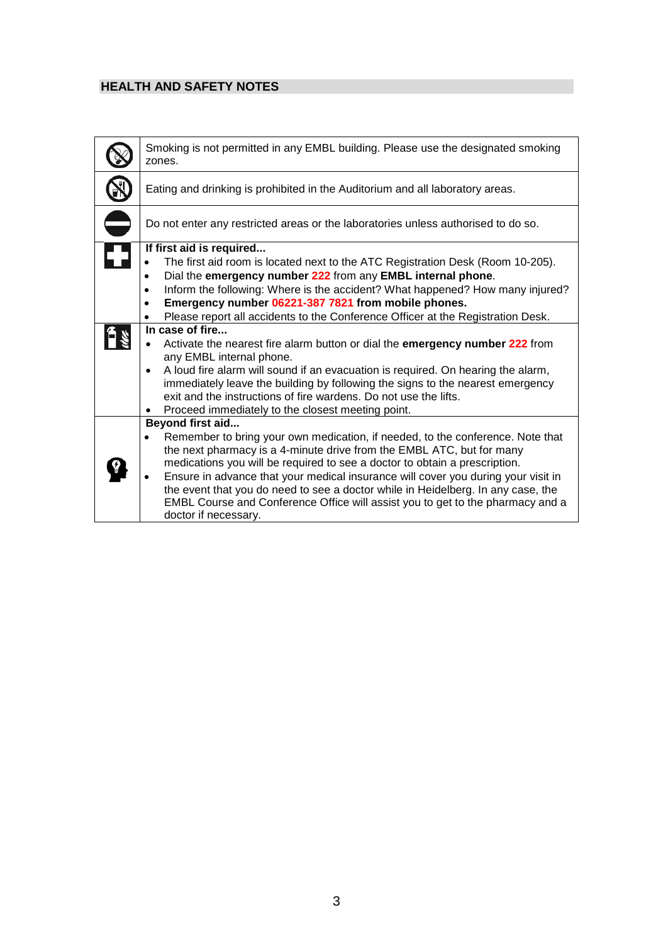# <span id="page-2-0"></span>**HEALTH AND SAFETY NOTES**

| Smoking is not permitted in any EMBL building. Please use the designated smoking<br>zones.                                                                                                                                                                                                                                                                                                                                                                                                                                                                                                                                                                                                                                                                                                                                                  |
|---------------------------------------------------------------------------------------------------------------------------------------------------------------------------------------------------------------------------------------------------------------------------------------------------------------------------------------------------------------------------------------------------------------------------------------------------------------------------------------------------------------------------------------------------------------------------------------------------------------------------------------------------------------------------------------------------------------------------------------------------------------------------------------------------------------------------------------------|
| Eating and drinking is prohibited in the Auditorium and all laboratory areas.                                                                                                                                                                                                                                                                                                                                                                                                                                                                                                                                                                                                                                                                                                                                                               |
| Do not enter any restricted areas or the laboratories unless authorised to do so.                                                                                                                                                                                                                                                                                                                                                                                                                                                                                                                                                                                                                                                                                                                                                           |
| If first aid is required<br>The first aid room is located next to the ATC Registration Desk (Room 10-205).<br>٠<br>Dial the emergency number 222 from any EMBL internal phone.<br>٠<br>Inform the following: Where is the accident? What happened? How many injured?<br>$\bullet$<br>Emergency number 06221-387 7821 from mobile phones.<br>$\bullet$<br>Please report all accidents to the Conference Officer at the Registration Desk.<br>$\bullet$<br>In case of fire<br>Activate the nearest fire alarm button or dial the emergency number 222 from<br>any EMBL internal phone.<br>A loud fire alarm will sound if an evacuation is required. On hearing the alarm,<br>$\bullet$<br>immediately leave the building by following the signs to the nearest emergency<br>exit and the instructions of fire wardens. Do not use the lifts. |
| Proceed immediately to the closest meeting point.<br>$\bullet$                                                                                                                                                                                                                                                                                                                                                                                                                                                                                                                                                                                                                                                                                                                                                                              |
| <b>Beyond first aid</b><br>Remember to bring your own medication, if needed, to the conference. Note that<br>the next pharmacy is a 4-minute drive from the EMBL ATC, but for many<br>medications you will be required to see a doctor to obtain a prescription.<br>Ensure in advance that your medical insurance will cover you during your visit in<br>the event that you do need to see a doctor while in Heidelberg. In any case, the<br>EMBL Course and Conference Office will assist you to get to the pharmacy and a<br>doctor if necessary.                                                                                                                                                                                                                                                                                         |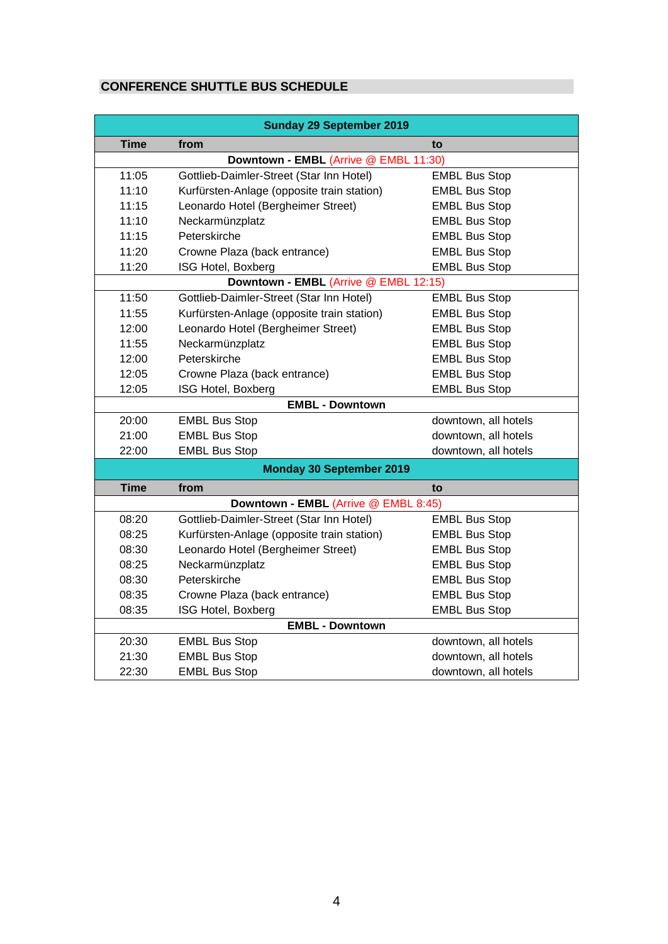# <span id="page-3-0"></span>**CONFERENCE SHUTTLE BUS SCHEDULE**

| <b>Sunday 29 September 2019</b>                                             |                                                         |                      |  |  |  |  |  |
|-----------------------------------------------------------------------------|---------------------------------------------------------|----------------------|--|--|--|--|--|
| <b>Time</b>                                                                 | from<br>to                                              |                      |  |  |  |  |  |
|                                                                             | Downtown - EMBL (Arrive @ EMBL 11:30)                   |                      |  |  |  |  |  |
| 11:05                                                                       | Gottlieb-Daimler-Street (Star Inn Hotel)                | <b>EMBL Bus Stop</b> |  |  |  |  |  |
| 11:10                                                                       | Kurfürsten-Anlage (opposite train station)              | <b>EMBL Bus Stop</b> |  |  |  |  |  |
| 11:15                                                                       | Leonardo Hotel (Bergheimer Street)                      | <b>EMBL Bus Stop</b> |  |  |  |  |  |
| 11:10                                                                       | Neckarmünzplatz                                         | <b>EMBL Bus Stop</b> |  |  |  |  |  |
| 11:15                                                                       | Peterskirche<br><b>EMBL Bus Stop</b>                    |                      |  |  |  |  |  |
| 11:20                                                                       | Crowne Plaza (back entrance)<br><b>EMBL Bus Stop</b>    |                      |  |  |  |  |  |
| 11:20                                                                       | ISG Hotel, Boxberg                                      | <b>EMBL Bus Stop</b> |  |  |  |  |  |
| Downtown - EMBL (Arrive @ EMBL 12:15)                                       |                                                         |                      |  |  |  |  |  |
| 11:50                                                                       | Gottlieb-Daimler-Street (Star Inn Hotel)                | <b>EMBL Bus Stop</b> |  |  |  |  |  |
| 11:55                                                                       | Kurfürsten-Anlage (opposite train station)              | <b>EMBL Bus Stop</b> |  |  |  |  |  |
| 12:00                                                                       | Leonardo Hotel (Bergheimer Street)                      | <b>EMBL Bus Stop</b> |  |  |  |  |  |
| 11:55                                                                       | Neckarmünzplatz                                         | <b>EMBL Bus Stop</b> |  |  |  |  |  |
| 12:00                                                                       | Peterskirche                                            | <b>EMBL Bus Stop</b> |  |  |  |  |  |
| 12:05                                                                       | Crowne Plaza (back entrance)<br><b>EMBL Bus Stop</b>    |                      |  |  |  |  |  |
| 12:05                                                                       | ISG Hotel, Boxberg                                      | <b>EMBL Bus Stop</b> |  |  |  |  |  |
|                                                                             | <b>EMBL - Downtown</b>                                  |                      |  |  |  |  |  |
| 20:00<br><b>EMBL Bus Stop</b>                                               |                                                         | downtown, all hotels |  |  |  |  |  |
| 21:00<br><b>EMBL Bus Stop</b>                                               |                                                         | downtown, all hotels |  |  |  |  |  |
| 22:00                                                                       | downtown, all hotels                                    |                      |  |  |  |  |  |
|                                                                             | <b>EMBL Bus Stop</b><br><b>Monday 30 September 2019</b> |                      |  |  |  |  |  |
| <b>Time</b>                                                                 | from                                                    | to                   |  |  |  |  |  |
|                                                                             | Downtown - EMBL (Arrive @ EMBL 8:45)                    |                      |  |  |  |  |  |
| 08:20                                                                       | Gottlieb-Daimler-Street (Star Inn Hotel)                | <b>EMBL Bus Stop</b> |  |  |  |  |  |
| 08:25<br>Kurfürsten-Anlage (opposite train station)<br><b>EMBL Bus Stop</b> |                                                         |                      |  |  |  |  |  |
| 08:30<br>Leonardo Hotel (Bergheimer Street)                                 |                                                         | <b>EMBL Bus Stop</b> |  |  |  |  |  |
| 08:25                                                                       | Neckarmünzplatz<br><b>EMBL Bus Stop</b>                 |                      |  |  |  |  |  |
| 08:30                                                                       | Peterskirche<br><b>EMBL Bus Stop</b>                    |                      |  |  |  |  |  |
| 08:35                                                                       | Crowne Plaza (back entrance)<br><b>EMBL Bus Stop</b>    |                      |  |  |  |  |  |
| 08:35                                                                       | ISG Hotel, Boxberg                                      | <b>EMBL Bus Stop</b> |  |  |  |  |  |
|                                                                             | <b>EMBL - Downtown</b>                                  |                      |  |  |  |  |  |
| 20:30                                                                       | <b>EMBL Bus Stop</b>                                    | downtown, all hotels |  |  |  |  |  |
| 21:30<br><b>EMBL Bus Stop</b><br>downtown, all hotels                       |                                                         |                      |  |  |  |  |  |
| 22:30                                                                       | <b>EMBL Bus Stop</b>                                    | downtown, all hotels |  |  |  |  |  |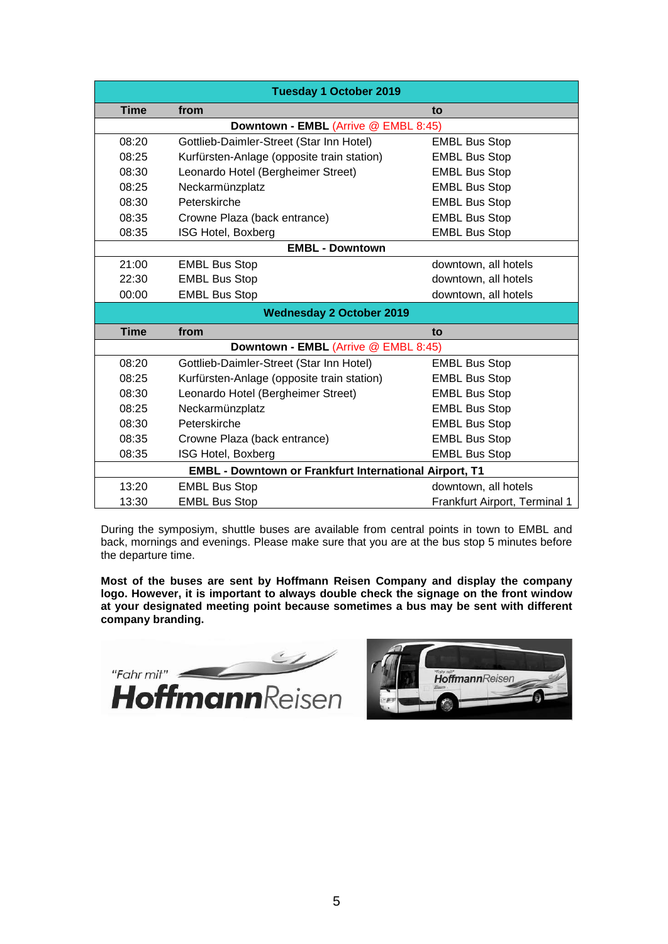| <b>Tuesday 1 October 2019</b>                                                                                     |                                                               |                               |  |  |  |  |
|-------------------------------------------------------------------------------------------------------------------|---------------------------------------------------------------|-------------------------------|--|--|--|--|
| <b>Time</b><br>from<br>to                                                                                         |                                                               |                               |  |  |  |  |
|                                                                                                                   | Downtown - EMBL (Arrive @ EMBL 8:45)                          |                               |  |  |  |  |
| 08:20<br>Gottlieb-Daimler-Street (Star Inn Hotel)<br><b>EMBL Bus Stop</b>                                         |                                                               |                               |  |  |  |  |
| 08:25                                                                                                             | <b>EMBL Bus Stop</b>                                          |                               |  |  |  |  |
| Kurfürsten-Anlage (opposite train station)<br>Leonardo Hotel (Bergheimer Street)<br>08:30<br><b>EMBL Bus Stop</b> |                                                               |                               |  |  |  |  |
| 08:25<br>Neckarmünzplatz<br><b>EMBL Bus Stop</b>                                                                  |                                                               |                               |  |  |  |  |
| Peterskirche<br><b>EMBL Bus Stop</b><br>08:30                                                                     |                                                               |                               |  |  |  |  |
| <b>EMBL Bus Stop</b><br>08:35<br>Crowne Plaza (back entrance)                                                     |                                                               |                               |  |  |  |  |
| 08:35                                                                                                             | ISG Hotel, Boxberg                                            | <b>EMBL Bus Stop</b>          |  |  |  |  |
| <b>EMBL - Downtown</b>                                                                                            |                                                               |                               |  |  |  |  |
| 21:00<br><b>EMBL Bus Stop</b>                                                                                     |                                                               | downtown, all hotels          |  |  |  |  |
| 22:30<br><b>EMBL Bus Stop</b>                                                                                     |                                                               | downtown, all hotels          |  |  |  |  |
| 00:00<br><b>EMBL Bus Stop</b><br>downtown, all hotels                                                             |                                                               |                               |  |  |  |  |
|                                                                                                                   | <b>Wednesday 2 October 2019</b>                               |                               |  |  |  |  |
| <b>Time</b>                                                                                                       | from                                                          | to                            |  |  |  |  |
| Downtown - EMBL (Arrive @ EMBL 8:45)                                                                              |                                                               |                               |  |  |  |  |
| 08:20                                                                                                             | Gottlieb-Daimler-Street (Star Inn Hotel)                      | <b>EMBL Bus Stop</b>          |  |  |  |  |
| 08:25<br>Kurfürsten-Anlage (opposite train station)<br><b>EMBL Bus Stop</b>                                       |                                                               |                               |  |  |  |  |
| 08:30<br><b>EMBL Bus Stop</b><br>Leonardo Hotel (Bergheimer Street)                                               |                                                               |                               |  |  |  |  |
| 08:25<br>Neckarmünzplatz<br><b>EMBL Bus Stop</b>                                                                  |                                                               |                               |  |  |  |  |
| Peterskirche<br><b>EMBL Bus Stop</b><br>08:30                                                                     |                                                               |                               |  |  |  |  |
| 08:35                                                                                                             | <b>EMBL Bus Stop</b><br>Crowne Plaza (back entrance)          |                               |  |  |  |  |
| 08:35                                                                                                             | ISG Hotel, Boxberg                                            | <b>EMBL Bus Stop</b>          |  |  |  |  |
|                                                                                                                   | <b>EMBL - Downtown or Frankfurt International Airport, T1</b> |                               |  |  |  |  |
| 13:20                                                                                                             | <b>EMBL Bus Stop</b>                                          | downtown, all hotels          |  |  |  |  |
| 13:30<br><b>EMBL Bus Stop</b>                                                                                     |                                                               | Frankfurt Airport, Terminal 1 |  |  |  |  |

During the symposiym, shuttle buses are available from central points in town to EMBL and back, mornings and evenings. Please make sure that you are at the bus stop 5 minutes before the departure time.

**Most of the buses are sent by Hoffmann Reisen Company and display the company logo. However, it is important to always double check the signage on the front window at your designated meeting point because sometimes a bus may be sent with different company branding.** 



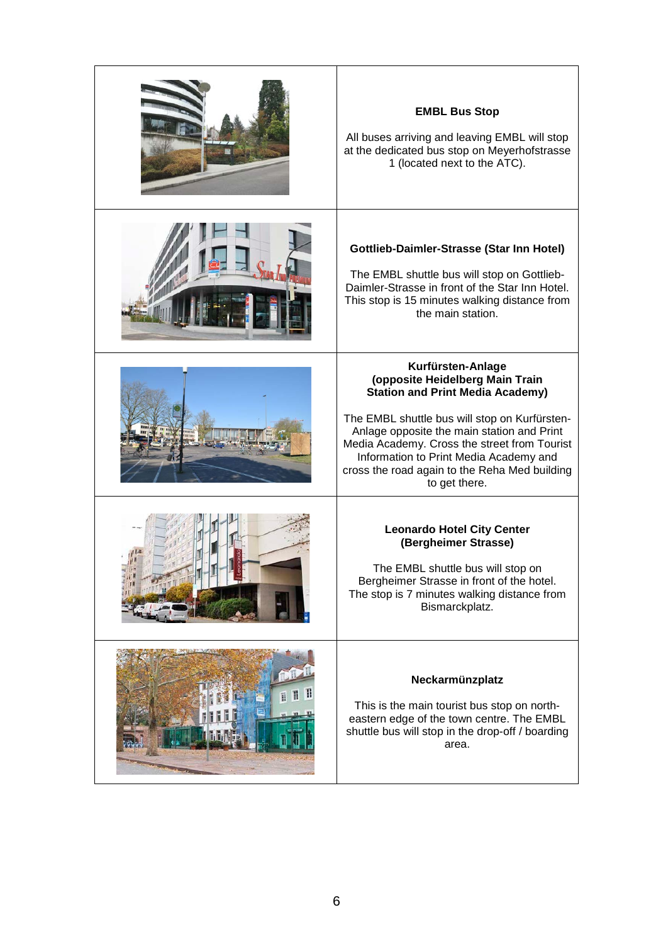| <b>EMBL Bus Stop</b><br>All buses arriving and leaving EMBL will stop<br>at the dedicated bus stop on Meyerhofstrasse<br>1 (located next to the ATC).                                                                                                                                                                                                      |
|------------------------------------------------------------------------------------------------------------------------------------------------------------------------------------------------------------------------------------------------------------------------------------------------------------------------------------------------------------|
| Gottlieb-Daimler-Strasse (Star Inn Hotel)<br>The EMBL shuttle bus will stop on Gottlieb-<br>Daimler-Strasse in front of the Star Inn Hotel.<br>This stop is 15 minutes walking distance from<br>the main station.                                                                                                                                          |
| Kurfürsten-Anlage<br>(opposite Heidelberg Main Train<br><b>Station and Print Media Academy)</b><br>The EMBL shuttle bus will stop on Kurfürsten-<br>Anlage opposite the main station and Print<br>Media Academy. Cross the street from Tourist<br>Information to Print Media Academy and<br>cross the road again to the Reha Med building<br>to get there. |
| <b>Leonardo Hotel City Center</b><br>(Bergheimer Strasse)<br>The EMBL shuttle bus will stop on<br>Bergheimer Strasse in front of the hotel.<br>The stop is 7 minutes walking distance from<br>Bismarckplatz.                                                                                                                                               |
| Neckarmünzplatz<br>This is the main tourist bus stop on north-<br>eastern edge of the town centre. The EMBL<br>shuttle bus will stop in the drop-off / boarding<br>area.                                                                                                                                                                                   |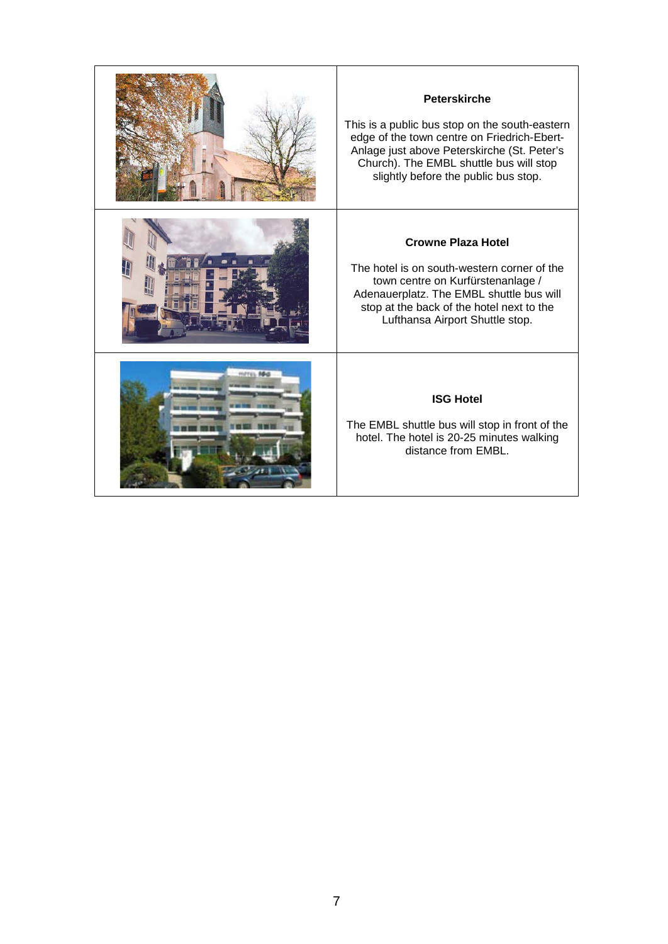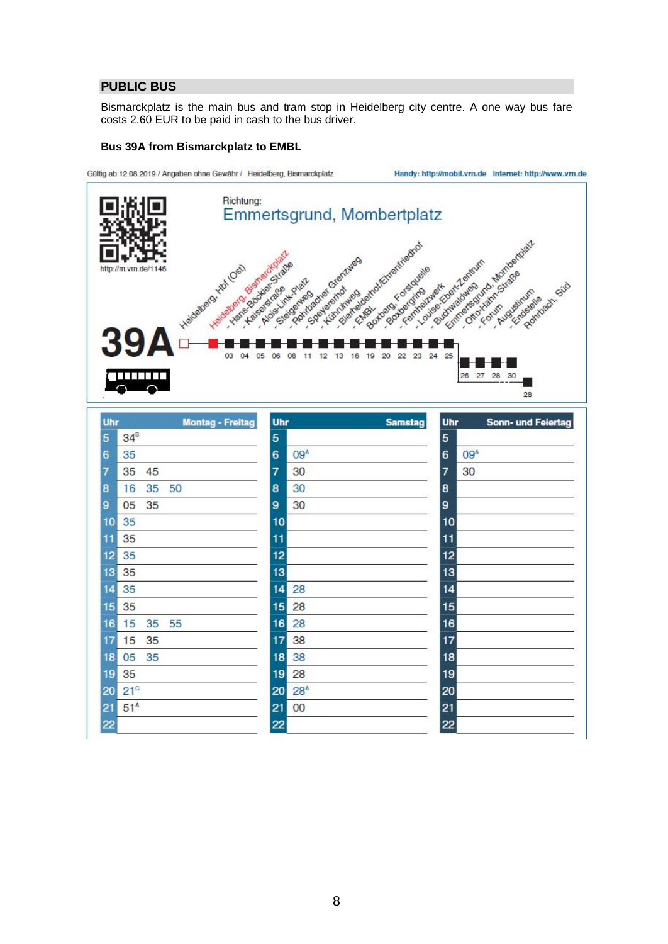# <span id="page-7-0"></span>**PUBLIC BUS**

Bismarckplatz is the main bus and tram stop in Heidelberg city centre. A one way bus fare costs 2.60 EUR to be paid in cash to the bus driver.

### **Bus 39A from Bismarckplatz to EMBL**



| Uhr                   | <b>Montag - Freitag</b> | Uhr             | <b>Samstag</b>  | Uhr | Sonn- und Feiertag |
|-----------------------|-------------------------|-----------------|-----------------|-----|--------------------|
| $34^{\text{B}}$<br>5  |                         | 5               |                 | 5   |                    |
| 35<br>6               |                         | 6               | 09 <sup>A</sup> | 6   | 09 <sup>A</sup>    |
| 35<br>45<br>7         |                         | 7               | 30              | 7   | 30                 |
| 16<br>35<br>8         | 50                      | 8               | 30              | 8   |                    |
| 35<br>05<br>9         |                         | 9               | 30              | 9   |                    |
| 35<br>10              |                         | 10              |                 | 10  |                    |
| 35<br>11              |                         | 11              |                 | 11  |                    |
| 35<br>12              |                         | 12              |                 | 12  |                    |
| 35<br>13              |                         | 13              |                 | 13  |                    |
| 35<br>14              |                         | 14              | 28              | 14  |                    |
| 35<br>15              |                         | 15              | 28              | 15  |                    |
| 15<br>35<br>16        | 55                      | 16              | 28              | 16  |                    |
| 15<br>35<br>17        |                         | 17              | 38              | 17  |                    |
| 35<br>18<br>05        |                         | 18              | 38              | 18  |                    |
| 35<br>19              |                         | 19              | 28              | 19  |                    |
| 21 <sup>c</sup><br>20 |                         | 20 <sub>2</sub> | 28 <sup>A</sup> | 20  |                    |
| 51 <sup>A</sup><br>21 |                         | 21              | 00              | 21  |                    |
| 22                    |                         | 22              |                 | 22  |                    |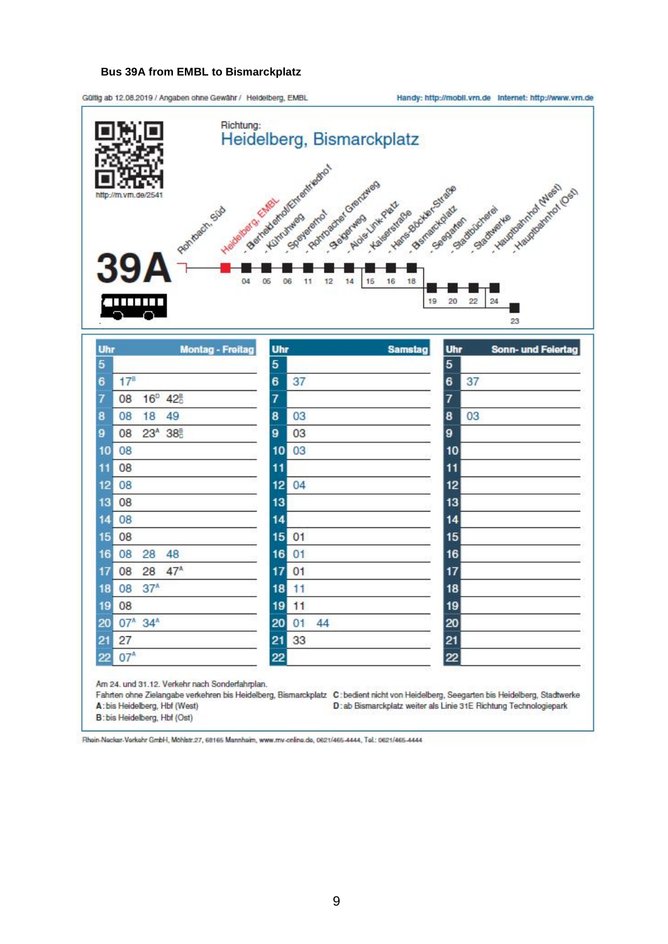### **Bus 39A from EMBL to Bismarckplatz**

Güttig ab 12.08.2019 / Angaben ohne Gewähr / Heldelberg, EMBL

Handy: http://mobil.vrn.de Internet: http://www.vrn.de



| Uhr | <b>Montag - Freitag</b>               | Uhr | <b>Samstag</b> | Uhr     | Sonn- und Feiertag |
|-----|---------------------------------------|-----|----------------|---------|--------------------|
| 5   |                                       | 5   |                | 5       |                    |
| 6   | 17 <sup>B</sup>                       | 6   | 37             | 6<br>37 |                    |
| 7   | 16 <sup>p</sup> 42 <sup>B</sup><br>08 | 7   |                | 7       |                    |
| 8   | 08<br>18<br>49                        | 8   | 03             | 03<br>8 |                    |
| 9   | 23 <sup>A</sup> 38 <sup>B</sup><br>08 | 9   | 03             | 9       |                    |
| 10  | 08                                    | 10  | 03             | 10      |                    |
| 11  | 08                                    | 11  |                | 11      |                    |
| 12  | 08                                    | 12  | 04             | 12      |                    |
| 13  | 08                                    | 13  |                | 13      |                    |
| 14  | 08                                    | 14  |                | 14      |                    |
| 15  | 08                                    | 15  | 01             | 15      |                    |
| 16  | 08<br>28<br>48                        | 16  | 01             | 16      |                    |
| 17  | 47 <sup>A</sup><br>08<br>28           | 17  | 01             | 17      |                    |
| 18  | 37 <sup>A</sup><br>08                 | 18  | 11             | 18      |                    |
| 19  | 08                                    | 19  | 11             | 19      |                    |
| 20  | 07 <sup>A</sup> 34 <sup>A</sup>       | 20  | 01<br>44       | 20      |                    |
| 21  | 27                                    | 21  | 33             | 21      |                    |
| 22  | 07 <sup>A</sup>                       | 22  |                | 22      |                    |

Fahrten ohne Zielangabe verkehren bis Heidelberg, Bismarckplatz C: bedient nicht von Heidelberg, Seegarten bis Heidelberg, Stadtwerke A: bis Heidelberg, Hbf (West)

D: ab Bismarckplatz weiter als Linie 31E Richtung Technologiepark

B: bis Heidelberg, Hbf (Ost)

Rhain-Nackar-Verkehr GmbH, Möhlstr.27, 68165 Mannhaim, www.mv-online.de, 0621/465-4444, Tel.: 0621/465-4444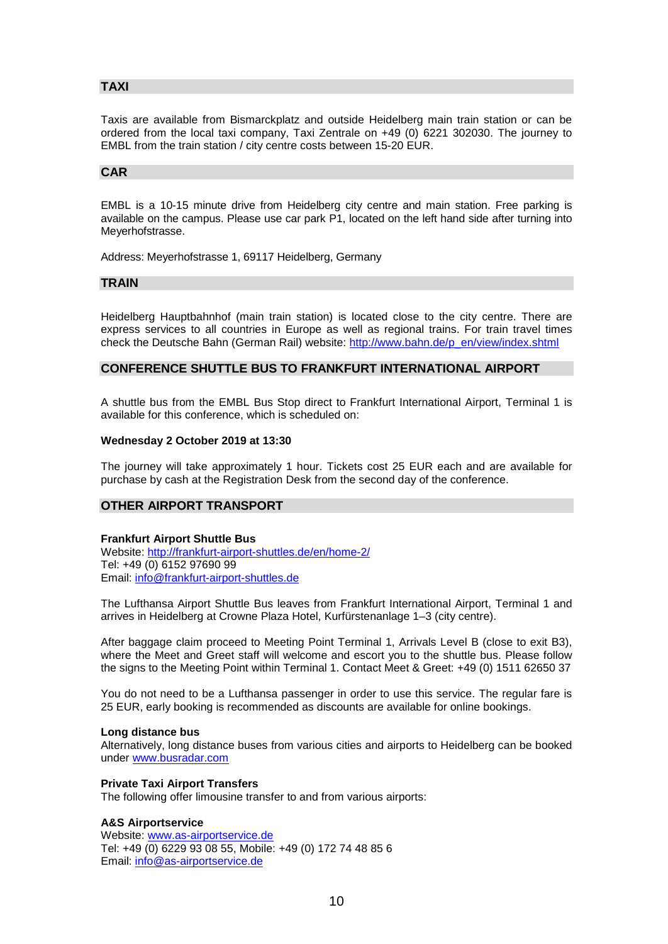# <span id="page-9-0"></span>**TAXI**

Taxis are available from Bismarckplatz and outside Heidelberg main train station or can be ordered from the local taxi company, Taxi Zentrale on +49 (0) 6221 302030. The journey to EMBL from the train station / city centre costs between 15-20 EUR.

#### <span id="page-9-1"></span>**CAR**

EMBL is a 10-15 minute drive from Heidelberg city centre and main station. Free parking is available on the campus. Please use car park P1, located on the left hand side after turning into Meyerhofstrasse.

Address: Meyerhofstrasse 1, 69117 Heidelberg, Germany

### <span id="page-9-2"></span>**TRAIN**

Heidelberg Hauptbahnhof (main train station) is located close to the city centre. There are express services to all countries in Europe as well as regional trains. For train travel times check the Deutsche Bahn (German Rail) website: [http://www.bahn.de/p\\_en/view/index.shtml](http://www.bahn.de/p_en/view/index.shtml)

### <span id="page-9-3"></span>**CONFERENCE SHUTTLE BUS TO FRANKFURT INTERNATIONAL AIRPORT**

A shuttle bus from the EMBL Bus Stop direct to Frankfurt International Airport, Terminal 1 is available for this conference, which is scheduled on:

#### **Wednesday 2 October 2019 at 13:30**

The journey will take approximately 1 hour. Tickets cost 25 EUR each and are available for purchase by cash at the Registration Desk from the second day of the conference.

## <span id="page-9-4"></span>**OTHER AIRPORT TRANSPORT**

#### **Frankfurt Airport Shuttle Bus**

Website:<http://frankfurt-airport-shuttles.de/en/home-2/> Tel: +49 (0) 6152 97690 99 Email: [info@frankfurt-airport-shuttles.de](mailto:info@frankfurt-airport-shuttles.de)

The Lufthansa Airport Shuttle Bus leaves from Frankfurt International Airport, Terminal 1 and arrives in Heidelberg at Crowne Plaza Hotel, Kurfürstenanlage 1–3 (city centre).

After baggage claim proceed to Meeting Point Terminal 1, Arrivals Level B (close to exit B3), where the Meet and Greet staff will welcome and escort you to the shuttle bus. Please follow the signs to the Meeting Point within Terminal 1. Contact Meet & Greet: +49 (0) 1511 62650 37

You do not need to be a Lufthansa passenger in order to use this service. The regular fare is 25 EUR, early booking is recommended as discounts are available for online bookings.

#### **Long distance bus**

Alternatively, long distance buses from various cities and airports to Heidelberg can be booked under [www.busradar.com](http://www.busradar.com/)

#### **Private Taxi Airport Transfers**

The following offer limousine transfer to and from various airports:

#### **A&S Airportservice**

Website: [www.as-airportservice.de](http://www.as-airportservice.de/) Tel: +49 (0) 6229 93 08 55, Mobile: +49 (0) 172 74 48 85 6 Email: [info@as-airportservice.de](mailto:info@as-airportservice.de)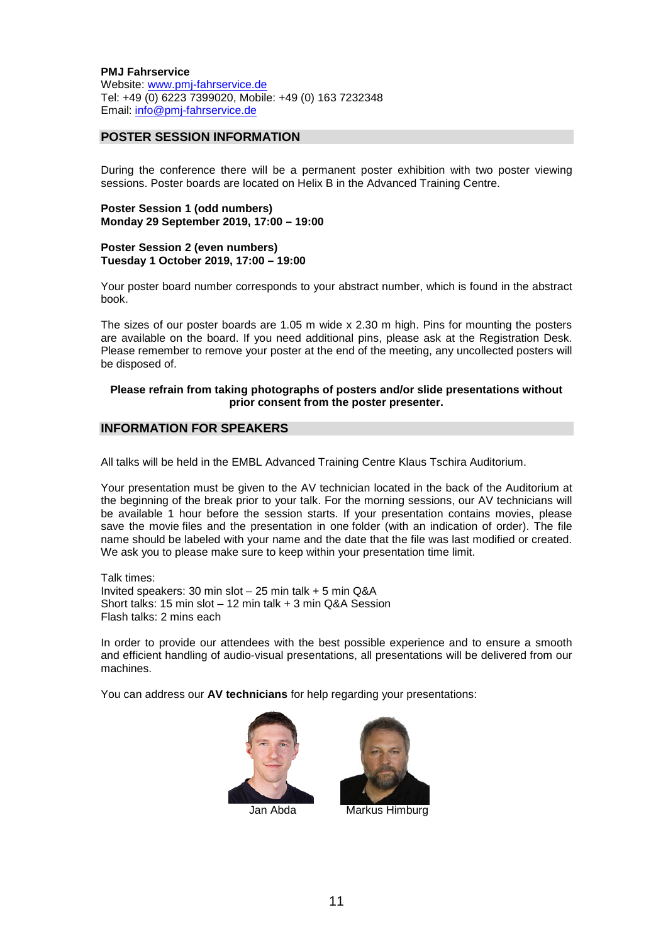**PMJ Fahrservice** Website: [www.pmj-fahrservice.de](http://www.pmj-fahrservice.de/) Tel: +49 (0) 6223 7399020, Mobile: +49 (0) 163 7232348 Email: [info@pmj-fahrservice.de](mailto:info@pmj-fahrservice.de)

## <span id="page-10-0"></span>**POSTER SESSION INFORMATION**

During the conference there will be a permanent poster exhibition with two poster viewing sessions. Poster boards are located on Helix B in the Advanced Training Centre.

**Poster Session 1 (odd numbers) Monday 29 September 2019, 17:00 – 19:00**

**Poster Session 2 (even numbers) Tuesday 1 October 2019, 17:00 – 19:00**

Your poster board number corresponds to your abstract number, which is found in the abstract book.

The sizes of our poster boards are 1.05 m wide x 2.30 m high. Pins for mounting the posters are available on the board. If you need additional pins, please ask at the Registration Desk. Please remember to remove your poster at the end of the meeting, any uncollected posters will be disposed of.

#### **Please refrain from taking photographs of posters and/or slide presentations without prior consent from the poster presenter.**

#### <span id="page-10-1"></span>**INFORMATION FOR SPEAKERS**

All talks will be held in the EMBL Advanced Training Centre Klaus Tschira Auditorium.

Your presentation must be given to the AV technician located in the back of the Auditorium at the beginning of the break prior to your talk. For the morning sessions, our AV technicians will be available 1 hour before the session starts. If your presentation contains movies, please save the movie files and the presentation in one folder (with an indication of order). The file name should be labeled with your name and the date that the file was last modified or created. We ask you to please make sure to keep within your presentation time limit.

Talk times: Invited speakers: 30 min slot – 25 min talk + 5 min Q&A Short talks: 15 min slot – 12 min talk + 3 min Q&A Session Flash talks: 2 mins each

In order to provide our attendees with the best possible experience and to ensure a smooth and efficient handling of audio-visual presentations, all presentations will be delivered from our machines.

You can address our **AV technicians** for help regarding your presentations:





Jan Abda Markus Himburg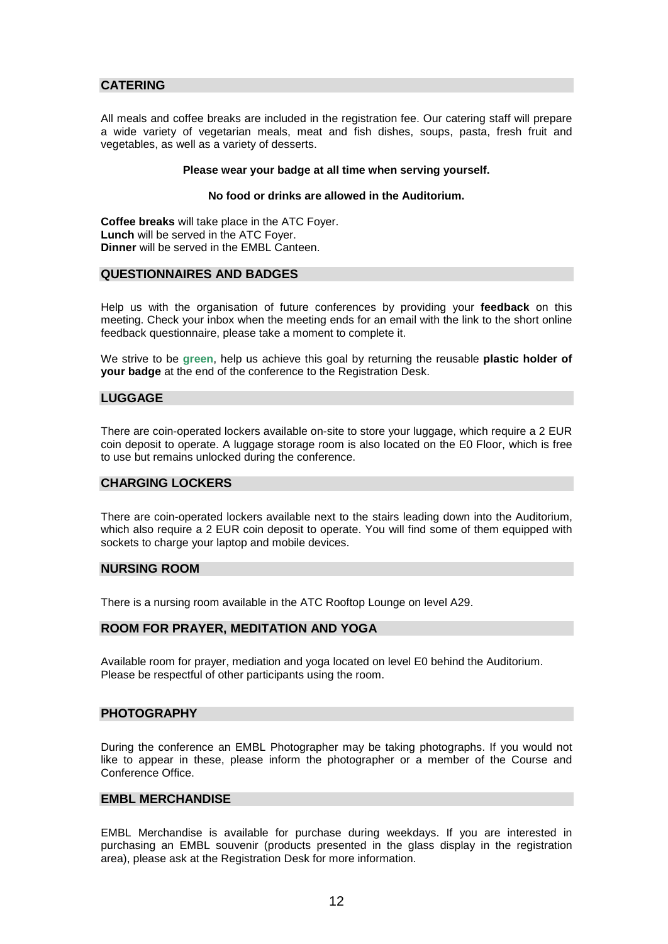## <span id="page-11-0"></span>**CATERING**

All meals and coffee breaks are included in the registration fee. Our catering staff will prepare a wide variety of vegetarian meals, meat and fish dishes, soups, pasta, fresh fruit and vegetables, as well as a variety of desserts.

#### **Please wear your badge at all time when serving yourself.**

#### **No food or drinks are allowed in the Auditorium.**

**Coffee breaks** will take place in the ATC Foyer. **Lunch** will be served in the ATC Foyer. **Dinner** will be served in the EMBL Canteen.

### <span id="page-11-1"></span>**QUESTIONNAIRES AND BADGES**

Help us with the organisation of future conferences by providing your **feedback** on this meeting. Check your inbox when the meeting ends for an email with the link to the short online feedback questionnaire, please take a moment to complete it.

We strive to be **green**, help us achieve this goal by returning the reusable **plastic holder of your badge** at the end of the conference to the Registration Desk.

### <span id="page-11-2"></span>**LUGGAGE**

There are coin-operated lockers available on-site to store your luggage, which require a 2 EUR coin deposit to operate. A luggage storage room is also located on the E0 Floor, which is free to use but remains unlocked during the conference.

## <span id="page-11-3"></span>**CHARGING LOCKERS**

There are coin-operated lockers available next to the stairs leading down into the Auditorium, which also require a 2 EUR coin deposit to operate. You will find some of them equipped with sockets to charge your laptop and mobile devices.

#### <span id="page-11-4"></span>**NURSING ROOM**

There is a nursing room available in the ATC Rooftop Lounge on level A29.

## <span id="page-11-5"></span>**ROOM FOR PRAYER, MEDITATION AND YOGA**

Available room for prayer, mediation and yoga located on level E0 behind the Auditorium. Please be respectful of other participants using the room.

## <span id="page-11-6"></span>**PHOTOGRAPHY**

During the conference an EMBL Photographer may be taking photographs. If you would not like to appear in these, please inform the photographer or a member of the Course and Conference Office.

## <span id="page-11-7"></span>**EMBL MERCHANDISE**

EMBL Merchandise is available for purchase during weekdays. If you are interested in purchasing an EMBL souvenir (products presented in the glass display in the registration area), please ask at the Registration Desk for more information.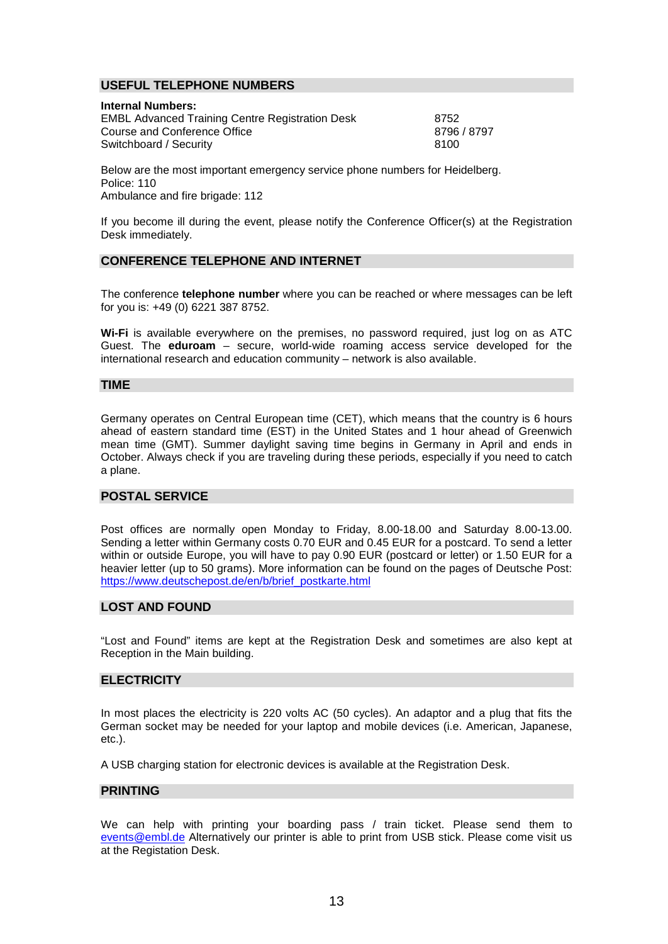## <span id="page-12-0"></span>**USEFUL TELEPHONE NUMBERS**

#### **Internal Numbers:**

EMBL Advanced Training Centre Registration Desk 8752<br>Course and Conference Office 8796 8797 Course and Conference Office Switchboard / Security 8100

Below are the most important emergency service phone numbers for Heidelberg. Police: 110 Ambulance and fire brigade: 112

If you become ill during the event, please notify the Conference Officer(s) at the Registration Desk immediately.

### <span id="page-12-1"></span>**CONFERENCE TELEPHONE AND INTERNET**

The conference **telephone number** where you can be reached or where messages can be left for you is: +49 (0) 6221 387 8752.

**Wi-Fi** is available everywhere on the premises, no password required, just log on as ATC Guest. The **eduroam** – secure, world-wide roaming access service developed for the international research and education community – network is also available.

## <span id="page-12-2"></span>**TIME**

Germany operates on Central European time (CET), which means that the country is 6 hours ahead of eastern standard time (EST) in the United States and 1 hour ahead of Greenwich mean time (GMT). Summer daylight saving time begins in Germany in April and ends in October. Always check if you are traveling during these periods, especially if you need to catch a plane.

#### <span id="page-12-3"></span>**POSTAL SERVICE**

Post offices are normally open Monday to Friday, 8.00-18.00 and Saturday 8.00-13.00. Sending a letter within Germany costs 0.70 EUR and 0.45 EUR for a postcard. To send a letter within or outside Europe, you will have to pay 0.90 EUR (postcard or letter) or 1.50 EUR for a heavier letter (up to 50 grams). More information can be found on the pages of Deutsche Post: [https://www.deutschepost.de/en/b/brief\\_postkarte.html](https://www.deutschepost.de/en/b/brief_postkarte.html)

## <span id="page-12-4"></span>**LOST AND FOUND**

"Lost and Found" items are kept at the Registration Desk and sometimes are also kept at Reception in the Main building.

## <span id="page-12-5"></span>**ELECTRICITY**

In most places the electricity is 220 volts AC (50 cycles). An adaptor and a plug that fits the German socket may be needed for your laptop and mobile devices (i.e. American, Japanese, etc.).

A USB charging station for electronic devices is available at the Registration Desk.

### <span id="page-12-6"></span>**PRINTING**

We can help with printing your boarding pass / train ticket. Please send them to [events@embl.de](mailto:events@embl.de) Alternatively our printer is able to print from USB stick. Please come visit us at the Registation Desk.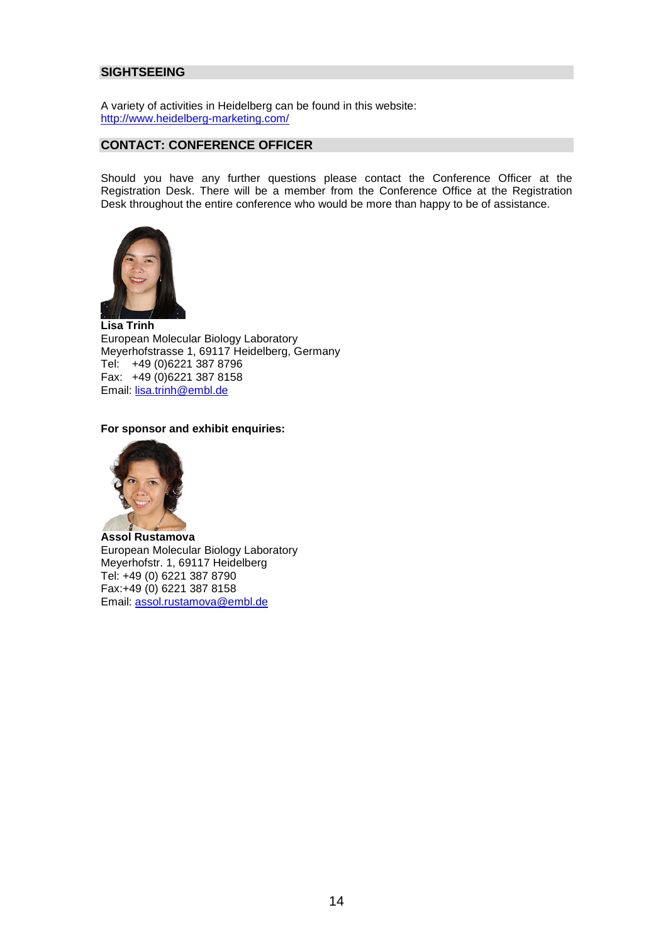## <span id="page-13-0"></span>**SIGHTSEEING**

A variety of activities in Heidelberg can be found in this website: <http://www.heidelberg-marketing.com/>

## <span id="page-13-1"></span>**CONTACT: CONFERENCE OFFICER**

Should you have any further questions please contact the Conference Officer at the Registration Desk. There will be a member from the Conference Office at the Registration Desk throughout the entire conference who would be more than happy to be of assistance.



**Lisa Trinh** European Molecular Biology Laboratory Meyerhofstrasse 1, 69117 Heidelberg, Germany Tel: +49 (0)6221 387 8796 Fax: +49 (0)6221 387 8158 Email: [lisa.trinh@embl.de](mailto:lisa.trinh@embl.de)

#### **For sponsor and exhibit enquiries:**



**Assol Rustamova** European Molecular Biology Laboratory Meyerhofstr. 1, 69117 Heidelberg Tel: +49 (0) 6221 387 8790 Fax:+49 (0) 6221 387 8158 Email: [assol.rustamova@embl.de](mailto:assol.rustamova@embl.de)